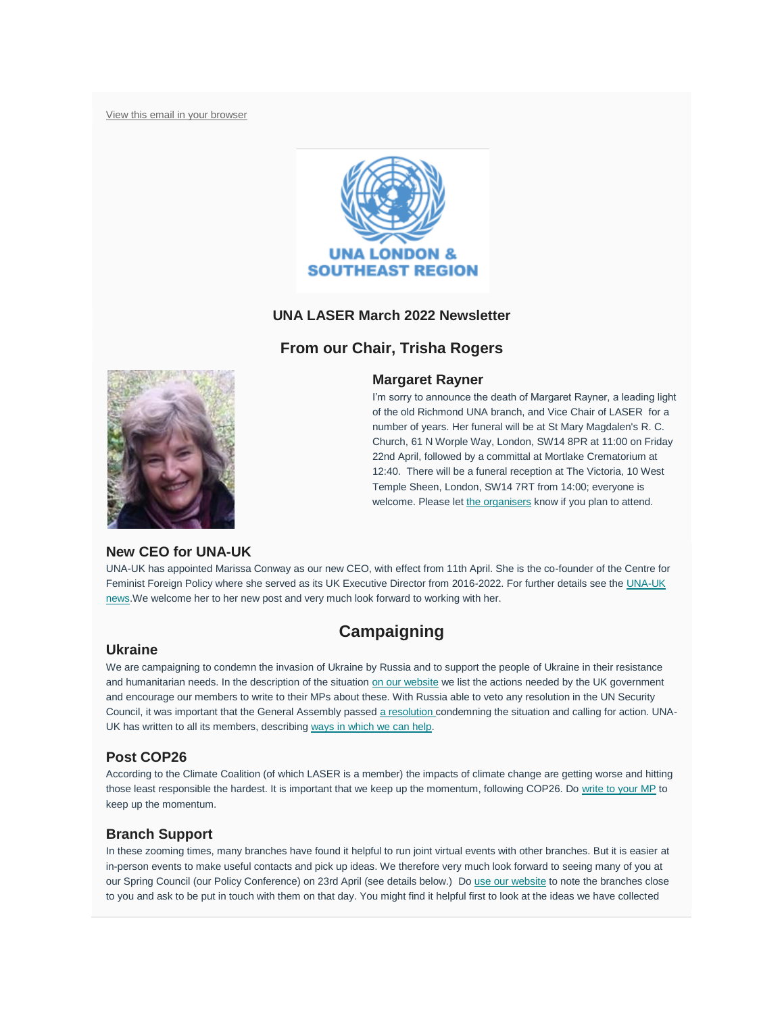[View this email in your browser](https://mailchi.mp/ffec12b9cc37/laser-newsletter-november-20150677?e=7b19b52a1f)



# **UNA LASER March 2022 Newsletter**

# **From our Chair, Trisha Rogers**



I'm sorry to announce the death of Margaret Rayner, a leading light of the old Richmond UNA branch, and Vice Chair of LASER for a number of years. Her funeral will be at St Mary Magdalen's R. C. Church, 61 N Worple Way, London, SW14 8PR at 11:00 on Friday 22nd April, followed by a committal at Mortlake Crematorium at 12:40. There will be a funeral reception at The Victoria, 10 West Temple Sheen, London, SW14 7RT from 14:00; everyone is welcome. Please let [the organisers](mailto:marionstevenson@nhs.net) know if you plan to attend.



# **New CEO for UNA-UK**

UNA-UK has appointed Marissa Conway as our new CEO, with effect from 11th April. She is the co-founder of the Centre for Feminist Foreign Policy where she served as its UK Executive Director from 2016-2022. For further details see the UNA-UK [news.W](https://una.org.uk/news/una-uk-appoints-marissa-conway-ceo)e welcome her to her new post and very much look forward to working with her.

# **Campaigning**

### **Ukraine**

We are campaigning to condemn the invasion of Ukraine by Russia and to support the people of Ukraine in their resistance and humanitarian needs. In the description of the situation [on our website](https://unalaser.org/una-laser-special-campaign-alert-the-russian-invasion-of-ukraine) we list the actions needed by the UK government and encourage our members to write to their MPs about these. With Russia able to veto any resolution in the UN Security Council, it was important that the General Assembly passed [a resolution](https://unalaser.org/wp-content/uploads/2022/03/220301-Ukraine-GA-resolution.pdf) condemning the situation and calling for action. UNA-UK has written to all its members, describing [ways in which we can help.](https://una.org.uk/ukraine-how-you-can-help)

# **Post COP26**

According to the Climate Coalition (of which LASER is a member) the impacts of climate change are getting worse and hitting those least responsible the hardest. It is important that we keep up the momentum, following COP26. Do [write to your MP](https://www.theclimatecoalition.org/show-the-love/green-heart-mp-action?utm_term=0_5d9d4008a3-f6bbf2f448-44278650) to keep up the momentum.

# **Branch Support**

In these zooming times, many branches have found it helpful to run joint virtual events with other branches. But it is easier at in-person events to make useful contacts and pick up ideas. We therefore very much look forward to seeing many of you at our Spring Council (our Policy Conference) on 23rd April (see details below.) Do [use our website](https://unalaser.org/branches) to note the branches close to you and ask to be put in touch with them on that day. You might find it helpful first to look at the ideas we have collected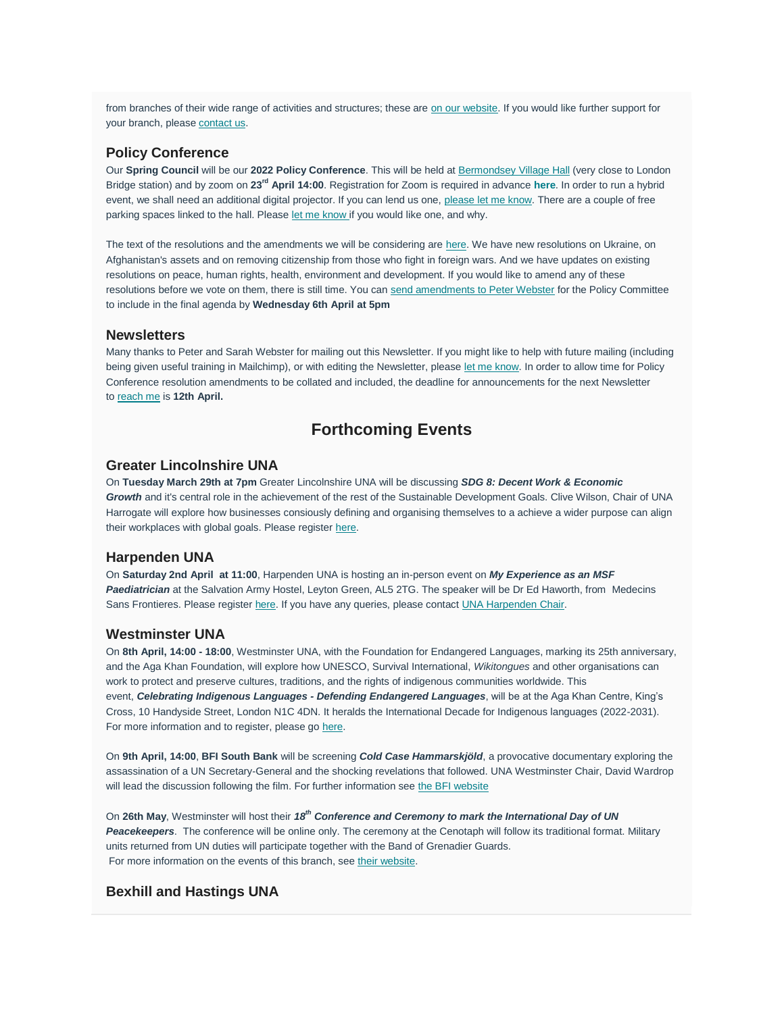from branches of their wide range of activities and structures; these are [on our website.](https://unalaser.org/wp-content/uploads/2021/02/Branch-Ideas.pdf) If you would like further support for your branch, please [contact us.](mailto:contact@unalaser.org)

### **Policy Conference**

Our **Spring Council** will be our **2022 Policy Conference**. This will be held at [Bermondsey Village Hall](https://www.london-se1.co.uk/places/bermondsey-village-hall) (very close to London Bridge station) and by zoom on **23rd April 14:00**. Registration for Zoom is required in advance **[here](https://us02web.zoom.us/meeting/register/tZAtdeqqrzgiGd26v1jGXzECGNdGfrrXic0i)**. In order to run a hybrid event, we shall need an additional digital projector. If you can lend us one, [please let me know.](mailto:trisha_rogers@yahoo.com) There are a couple of free parking spaces linked to the hall. Please [let me know](mailto:trisha_rogers@yahoo.com) if you would like one, and why.

The text of the resolutions and the amendments we will be considering are [here.](https://unalaser.org/wp-content/uploads/2022/03/Draft-UNA-LASER-policy-resolutions-for-consideration-on-23rd-April-2022.pdf) We have new resolutions on Ukraine, on Afghanistan's assets and on removing citizenship from those who fight in foreign wars. And we have updates on existing resolutions on peace, human rights, health, environment and development. If you would like to amend any of these resolutions before we vote on them, there is still time. You can [send amendments to Peter Webster](mailto:webster.home@btinternet.com?subject=Amendments%20to%20resolutions%20&body=Dear%20Peter%2C%0A%0APlease%20find%20below%20my%20proposed%20amendment%20to%20the%20resolutions%20to%20be%20considered%20on%2023rd%20April.%20%0A%0A) for the Policy Committee to include in the final agenda by **Wednesday 6th April at 5pm**

#### **Newsletters**

Many thanks to Peter and Sarah Webster for mailing out this Newsletter. If you might like to help with future mailing (including being given useful training in Mailchimp), or with editing the Newsletter, please [let me know.](mailto:contact@unalaser.org) In order to allow time for Policy Conference resolution amendments to be collated and included, the deadline for announcements for the next Newsletter to [reach me](mailto:contact@unalaser.org) is **12th April.**

# **Forthcoming Events**

### **Greater Lincolnshire UNA**

On **Tuesday March 29th at 7pm** Greater Lincolnshire UNA will be discussing *SDG 8: Decent Work & Economic Growth* and it's central role in the achievement of the rest of the Sustainable Development Goals. Clive Wilson, Chair of UNA Harrogate will explore how businesses consiously defining and organising themselves to a achieve a wider purpose can align their workplaces with global goals. Please register [here.](https://www.eventbrite.com/e/una-gl-online-seminar-sdg-goal-8-decent-work-and-economic-growth-tickets-292550154387?aff=ebdssbdestsearch&keep_tld=1)

#### **Harpenden UNA**

On **Saturday 2nd April at 11:00**, Harpenden UNA is hosting an in-person event on *My Experience as an MSF Paediatrician* at the Salvation Army Hostel, Leyton Green, AL5 2TG. The speaker will be Dr Ed Haworth, from Medecins Sans Frontieres. Please register [here.](https://www.eventbrite.com/e/ed-haworth-on-my-experience-as-an-msf-paediatrician-tickets-289393924017?aff=ebdssbdestsearch&keep_tld=1) If you have any queries, please contact [UNA Harpenden Chair.](mailto:herts77@btinternet.com)

#### **Westminster UNA**

On **8th April, 14:00 - 18:00**, Westminster UNA, with the Foundation for Endangered Languages, marking its 25th anniversary, and the Aga Khan Foundation, will explore how UNESCO, Survival International, *Wikitongues* and other organisations can work to protect and preserve cultures, traditions, and the rights of indigenous communities worldwide. This event, *Celebrating Indigenous Languages - Defending Endangered Languages*, will be at the Aga Khan Centre, King's Cross, 10 Handyside Street, London N1C 4DN. It heralds the International Decade for Indigenous languages (2022-2031). For more information and to register, please go [here.](https://www.eventbrite.co.uk/e/celebrating-indigenous-languages-defending-endangered-languages-tickets-198164394037)

On **9th April, 14:00**, **BFI South Bank** will be screening *Cold Case Hammarskjöld*, a provocative documentary exploring the assassination of a UN Secretary-General and the shocking revelations that followed. UNA Westminster Chair, David Wardrop will lead the discussion following the film. For further information see [the BFI website](https://whatson.bfi.org.uk/Online/default.asp?doWork::WScontent::loadArticle=Load&BOparam::WScontent::loadArticle::article_id=1B61835F-0EF6-4D42-9968-9EB50FC3BDE6&BOparam::WScontent::loadArticle::context_id=10C9472C-5060-4E6F-AAEC-947E5FE8F03F)

On **26th May**, Westminster will host their *18th Conference and Ceremony to mark the International Day of UN Peacekeepers*. The conference will be online only. The ceremony at the Cenotaph will follow its traditional format. Military units returned from UN duties will participate together with the Band of Grenadier Guards. For more information on the events of this branch, see [their website.](http://www.unawestminster.org.uk/future_events.html)

### **Bexhill and Hastings UNA**